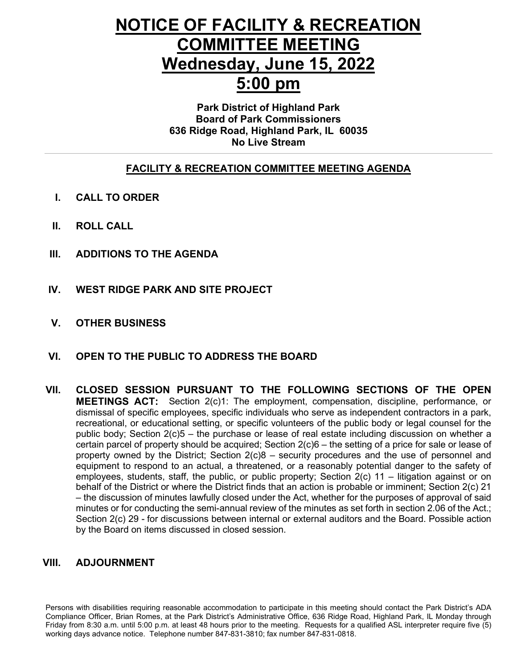## **NOTICE OF FACILITY & RECREATION COMMITTEE MEETING Wednesday, June 15, 2022 5:00 pm**

#### **Park District of Highland Park Board of Park Commissioners 636 Ridge Road, Highland Park, IL 60035 No Live Stream**

### **FACILITY & RECREATION COMMITTEE MEETING AGENDA**

- **I. CALL TO ORDER**
- **II. ROLL CALL**
- **III. ADDITIONS TO THE AGENDA**
- **IV. WEST RIDGE PARK AND SITE PROJECT**
- **V. OTHER BUSINESS**
- **VI. OPEN TO THE PUBLIC TO ADDRESS THE BOARD**
- **VII. CLOSED SESSION PURSUANT TO THE FOLLOWING SECTIONS OF THE OPEN MEETINGS ACT:** Section 2(c)1: The employment, compensation, discipline, performance, or dismissal of specific employees, specific individuals who serve as independent contractors in a park, recreational, or educational setting, or specific volunteers of the public body or legal counsel for the public body; Section 2(c)5 – the purchase or lease of real estate including discussion on whether a certain parcel of property should be acquired; Section 2(c)6 – the setting of a price for sale or lease of property owned by the District; Section 2(c)8 – security procedures and the use of personnel and equipment to respond to an actual, a threatened, or a reasonably potential danger to the safety of employees, students, staff, the public, or public property; Section 2(c) 11 – litigation against or on behalf of the District or where the District finds that an action is probable or imminent; Section 2(c) 21 – the discussion of minutes lawfully closed under the Act, whether for the purposes of approval of said minutes or for conducting the semi-annual review of the minutes as set forth in section 2.06 of the Act.; Section 2(c) 29 - for discussions between internal or external auditors and the Board. Possible action by the Board on items discussed in closed session.

#### **VIII. ADJOURNMENT**

Persons with disabilities requiring reasonable accommodation to participate in this meeting should contact the Park District's ADA Compliance Officer, Brian Romes, at the Park District's Administrative Office, 636 Ridge Road, Highland Park, IL Monday through Friday from 8:30 a.m. until 5:00 p.m. at least 48 hours prior to the meeting. Requests for a qualified ASL interpreter require five (5) working days advance notice. Telephone number 847-831-3810; fax number 847-831-0818.